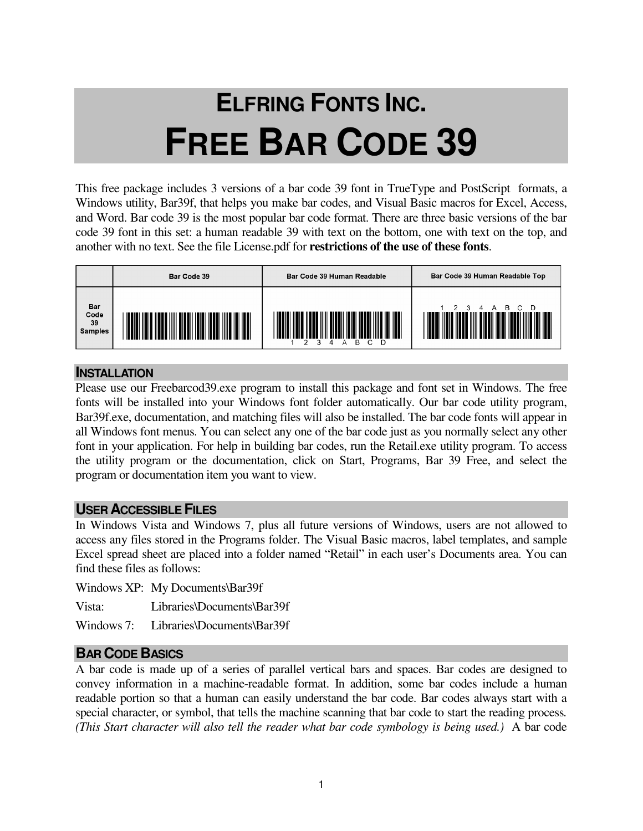# **ELFRING FONTS INC. FREE BAR CODE 39**

This free package includes 3 versions of a bar code 39 font in TrueType and PostScript formats, a Windows utility, Bar39f, that helps you make bar codes, and Visual Basic macros for Excel, Access, and Word. Bar code 39 is the most popular bar code format. There are three basic versions of the bar code 39 font in this set: a human readable 39 with text on the bottom, one with text on the top, and another with no text. See the file License.pdf for **restrictions of the use of these fonts**.



#### **INSTALLATION**

Please use our Freebarcod39.exe program to install this package and font set in Windows. The free fonts will be installed into your Windows font folder automatically. Our bar code utility program, Bar39f.exe, documentation, and matching files will also be installed. The bar code fonts will appear in all Windows font menus. You can select any one of the bar code just as you normally select any other font in your application. For help in building bar codes, run the Retail.exe utility program. To access the utility program or the documentation, click on Start, Programs, Bar 39 Free, and select the program or documentation item you want to view.

#### **USER ACCESSIBLE FILES**

In Windows Vista and Windows 7, plus all future versions of Windows, users are not allowed to access any files stored in the Programs folder. The Visual Basic macros, label templates, and sample Excel spread sheet are placed into a folder named "Retail" in each user's Documents area. You can find these files as follows:

Windows XP: My Documents\Bar39f

Vista: Libraries\Documents\Bar39f

Windows 7: Libraries\Documents\Bar39f

# **BAR CODE BASICS**

A bar code is made up of a series of parallel vertical bars and spaces. Bar codes are designed to convey information in a machine-readable format. In addition, some bar codes include a human readable portion so that a human can easily understand the bar code. Bar codes always start with a special character, or symbol, that tells the machine scanning that bar code to start the reading process*. (This Start character will also tell the reader what bar code symbology is being used.)* A bar code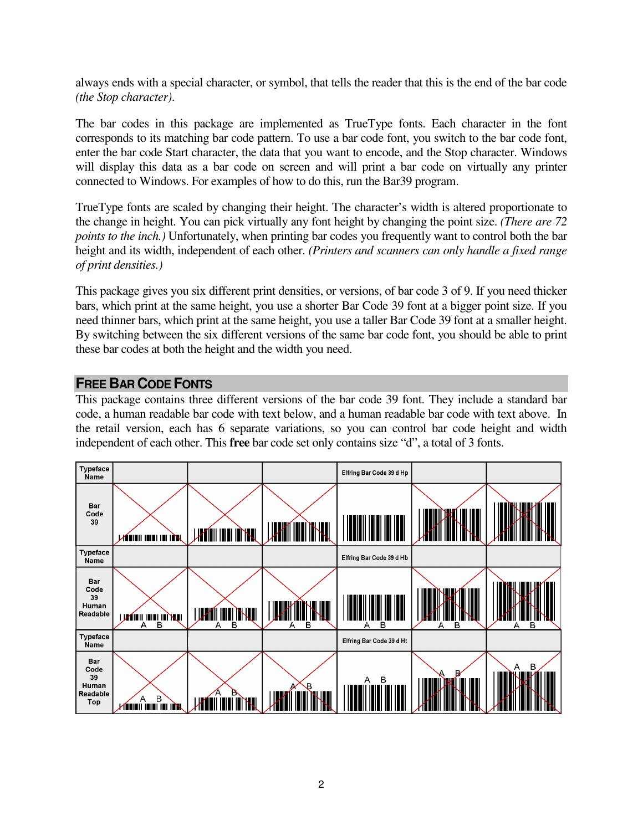always ends with a special character, or symbol, that tells the reader that this is the end of the bar code *(the Stop character)*.

The bar codes in this package are implemented as TrueType fonts. Each character in the font corresponds to its matching bar code pattern. To use a bar code font, you switch to the bar code font, enter the bar code Start character, the data that you want to encode, and the Stop character. Windows will display this data as a bar code on screen and will print a bar code on virtually any printer connected to Windows. For examples of how to do this, run the Bar39 program.

TrueType fonts are scaled by changing their height. The character's width is altered proportionate to the change in height. You can pick virtually any font height by changing the point size. *(There are 72 points to the inch.)* Unfortunately, when printing bar codes you frequently want to control both the bar height and its width, independent of each other. *(Printers and scanners can only handle a fixed range of print densities.)* 

This package gives you six different print densities, or versions, of bar code 3 of 9. If you need thicker bars, which print at the same height, you use a shorter Bar Code 39 font at a bigger point size. If you need thinner bars, which print at the same height, you use a taller Bar Code 39 font at a smaller height. By switching between the six different versions of the same bar code font, you should be able to print these bar codes at both the height and the width you need.

#### **FREE BAR CODE FONTS**

This package contains three different versions of the bar code 39 font. They include a standard bar code, a human readable bar code with text below, and a human readable bar code with text above. In the retail version, each has 6 separate variations, so you can control bar code height and width independent of each other. This **free** bar code set only contains size "d", a total of 3 fonts.

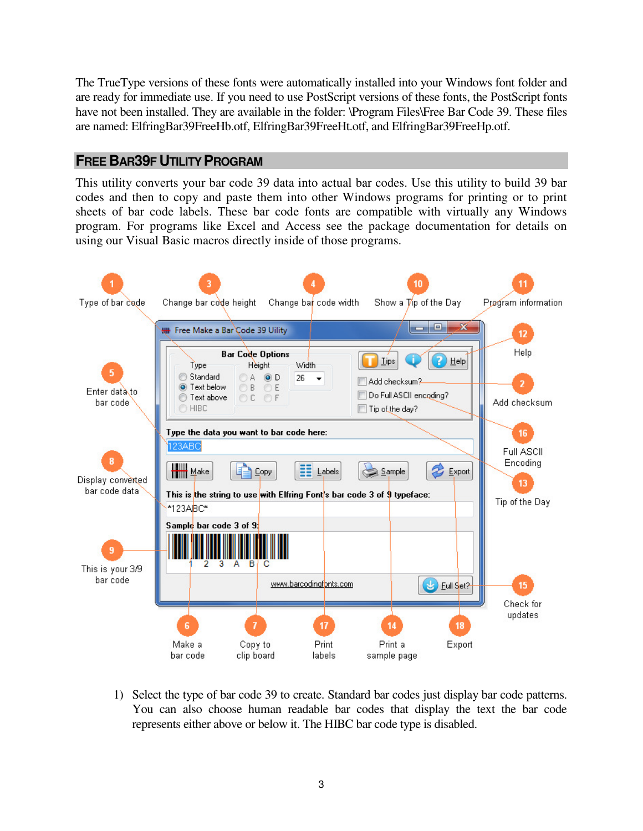The TrueType versions of these fonts were automatically installed into your Windows font folder and are ready for immediate use. If you need to use PostScript versions of these fonts, the PostScript fonts have not been installed. They are available in the folder: \Program Files\Free Bar Code 39. These files are named: ElfringBar39FreeHb.otf, ElfringBar39FreeHt.otf, and ElfringBar39FreeHp.otf.

# **FREE BAR39F UTILITY PROGRAM**

This utility converts your bar code 39 data into actual bar codes. Use this utility to build 39 bar codes and then to copy and paste them into other Windows programs for printing or to print sheets of bar code labels. These bar code fonts are compatible with virtually any Windows program. For programs like Excel and Access see the package documentation for details on using our Visual Basic macros directly inside of those programs.



1) Select the type of bar code 39 to create. Standard bar codes just display bar code patterns. You can also choose human readable bar codes that display the text the bar code represents either above or below it. The HIBC bar code type is disabled.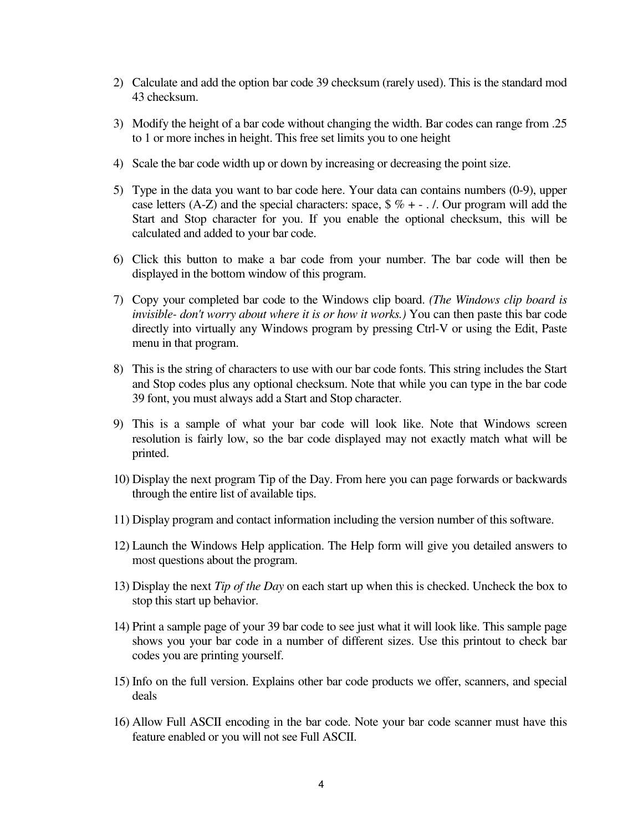- 2) Calculate and add the option bar code 39 checksum (rarely used). This is the standard mod 43 checksum.
- 3) Modify the height of a bar code without changing the width. Bar codes can range from .25 to 1 or more inches in height. This free set limits you to one height
- 4) Scale the bar code width up or down by increasing or decreasing the point size.
- 5) Type in the data you want to bar code here. Your data can contains numbers (0-9), upper case letters (A-Z) and the special characters: space,  $\frac{6}{6}$  % + - . /. Our program will add the Start and Stop character for you. If you enable the optional checksum, this will be calculated and added to your bar code.
- 6) Click this button to make a bar code from your number. The bar code will then be displayed in the bottom window of this program.
- 7) Copy your completed bar code to the Windows clip board. *(The Windows clip board is invisible- don't worry about where it is or how it works.)* You can then paste this bar code directly into virtually any Windows program by pressing Ctrl-V or using the Edit, Paste menu in that program.
- 8) This is the string of characters to use with our bar code fonts. This string includes the Start and Stop codes plus any optional checksum. Note that while you can type in the bar code 39 font, you must always add a Start and Stop character.
- 9) This is a sample of what your bar code will look like. Note that Windows screen resolution is fairly low, so the bar code displayed may not exactly match what will be printed.
- 10) Display the next program Tip of the Day. From here you can page forwards or backwards through the entire list of available tips.
- 11) Display program and contact information including the version number of this software.
- 12) Launch the Windows Help application. The Help form will give you detailed answers to most questions about the program.
- 13) Display the next *Tip of the Day* on each start up when this is checked. Uncheck the box to stop this start up behavior.
- 14) Print a sample page of your 39 bar code to see just what it will look like. This sample page shows you your bar code in a number of different sizes. Use this printout to check bar codes you are printing yourself.
- 15) Info on the full version. Explains other bar code products we offer, scanners, and special deals
- 16) Allow Full ASCII encoding in the bar code. Note your bar code scanner must have this feature enabled or you will not see Full ASCII.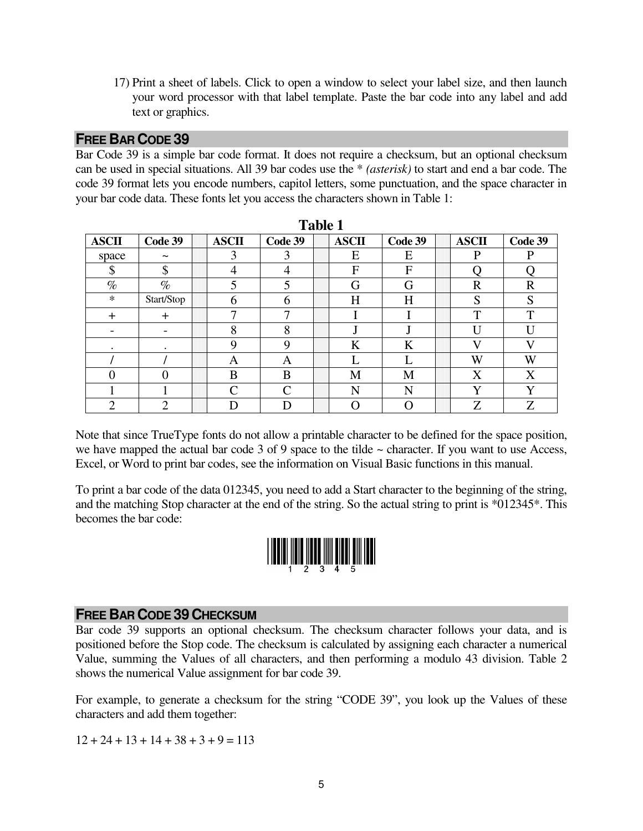17) Print a sheet of labels. Click to open a window to select your label size, and then launch your word processor with that label template. Paste the bar code into any label and add text or graphics.

#### **FREE BAR CODE 39**

Bar Code 39 is a simple bar code format. It does not require a checksum, but an optional checksum can be used in special situations. All 39 bar codes use the \* *(asterisk)* to start and end a bar code. The code 39 format lets you encode numbers, capitol letters, some punctuation, and the space character in your bar code data. These fonts let you access the characters shown in Table 1:

| <b>Table 1</b> |                       |  |              |               |  |              |         |  |              |              |
|----------------|-----------------------|--|--------------|---------------|--|--------------|---------|--|--------------|--------------|
| <b>ASCII</b>   | Code 39               |  | <b>ASCII</b> | Code 39       |  | <b>ASCII</b> | Code 39 |  | <b>ASCII</b> | Code 39      |
| space          | $\tilde{\phantom{a}}$ |  | 3            | 3             |  | E            | Е       |  | P            | P            |
| \$             | \$                    |  | 4            | 4             |  | $\mathbf{F}$ | F       |  |              |              |
| $\%$           | $\%$                  |  | 5            | 5             |  | G            | G       |  | $\mathbf R$  | $\mathbf R$  |
| $\ast$         | Start/Stop            |  | 6            | 6             |  | H            | H       |  | S            | S            |
| $\ddot{}$      | $+$                   |  | ⇁            | ⇁             |  |              |         |  | $\mathbf{T}$ | $\mathbf{T}$ |
| -              |                       |  | 8            | 8             |  |              |         |  | $\mathbf{I}$ | U            |
| ٠              | ٠                     |  | 9            | 9             |  | K            | K       |  | $\mathbf{V}$ | V            |
|                |                       |  | Α            | A             |  |              |         |  | W            | W            |
| 0              |                       |  | B            | B             |  | M            | M       |  | X            | X            |
|                |                       |  | ⌒            | $\mathcal{C}$ |  | N            | N       |  | $\mathbf{V}$ | $\bf v$      |
| ◠              | ◠                     |  |              | D             |  |              |         |  | Z            | Z            |

Note that since TrueType fonts do not allow a printable character to be defined for the space position, we have mapped the actual bar code 3 of 9 space to the tilde  $\sim$  character. If you want to use Access, Excel, or Word to print bar codes, see the information on Visual Basic functions in this manual.

To print a bar code of the data 012345, you need to add a Start character to the beginning of the string, and the matching Stop character at the end of the string. So the actual string to print is \*012345\*. This becomes the bar code:



# **FREE BAR CODE 39 CHECKSUM**

Bar code 39 supports an optional checksum. The checksum character follows your data, and is positioned before the Stop code. The checksum is calculated by assigning each character a numerical Value, summing the Values of all characters, and then performing a modulo 43 division. Table 2 shows the numerical Value assignment for bar code 39.

For example, to generate a checksum for the string "CODE 39", you look up the Values of these characters and add them together:

 $12 + 24 + 13 + 14 + 38 + 3 + 9 = 113$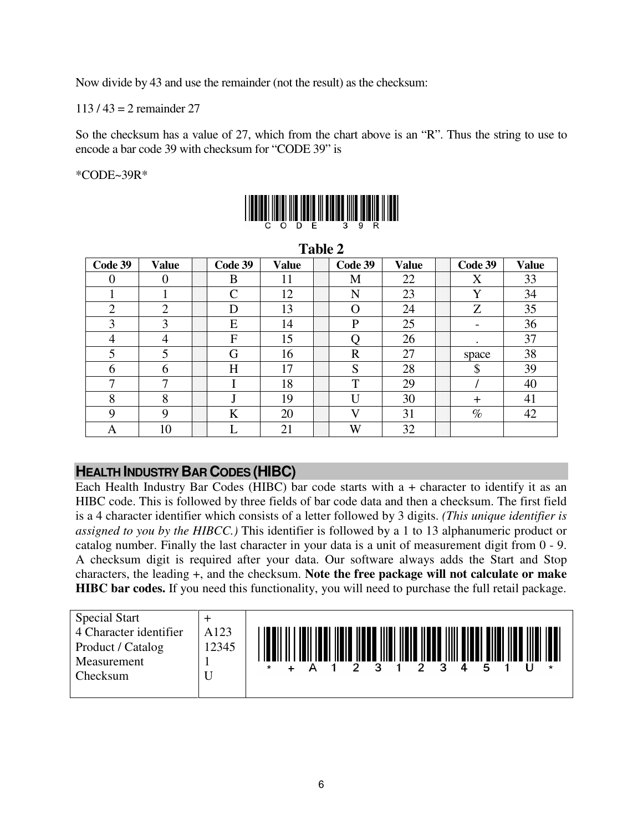Now divide by 43 and use the remainder (not the result) as the checksum:

113 / 43 = 2 remainder 27

So the checksum has a value of 27, which from the chart above is an "R". Thus the string to use to encode a bar code 39 with checksum for "CODE 39" is

\*CODE~39R\*



| 1 avit 4       |        |  |                    |       |  |                |              |  |         |              |
|----------------|--------|--|--------------------|-------|--|----------------|--------------|--|---------|--------------|
| Code 39        | Value  |  | Code 39            | Value |  | Code 39        | <b>Value</b> |  | Code 39 | <b>Value</b> |
| $\overline{0}$ | 0      |  | B                  | 11    |  | M              | 22           |  | X       | 33           |
|                |        |  | $\curvearrowright$ | 12    |  | N              | 23           |  | Y       | 34           |
| $\overline{2}$ | C<br>∠ |  | D                  | 13    |  | $\Omega$       | 24           |  | Z       | 35           |
| 3              | 3      |  | E                  | 14    |  | P              | 25           |  |         | 36           |
| 4              | 4      |  | F                  | 15    |  |                | 26           |  |         | 37           |
| 5              | 5      |  | G                  | 16    |  | $\overline{R}$ | 27           |  | space   | 38           |
| 6              | 6      |  | H                  | 17    |  | S              | 28           |  | \$      | 39           |
| 7              | ⇁      |  |                    | 18    |  | T              | 29           |  |         | 40           |
| 8              | 8      |  |                    | 19    |  | $\mathbf{I}$   | 30           |  | $\pm$   | 41           |
| 9              | 9      |  | K                  | 20    |  | $\mathbf{V}$   | 31           |  | $\%$    | 42           |
| A              | 10     |  |                    | 21    |  | W              | 32           |  |         |              |

**Table 2** 

# **HEALTH INDUSTRY BAR CODES (HIBC)**

Each Health Industry Bar Codes (HIBC) bar code starts with a + character to identify it as an HIBC code. This is followed by three fields of bar code data and then a checksum. The first field is a 4 character identifier which consists of a letter followed by 3 digits. *(This unique identifier is assigned to you by the HIBCC.)* This identifier is followed by a 1 to 13 alphanumeric product or catalog number. Finally the last character in your data is a unit of measurement digit from 0 - 9. A checksum digit is required after your data. Our software always adds the Start and Stop characters, the leading +, and the checksum. **Note the free package will not calculate or make HIBC bar codes.** If you need this functionality, you will need to purchase the full retail package.

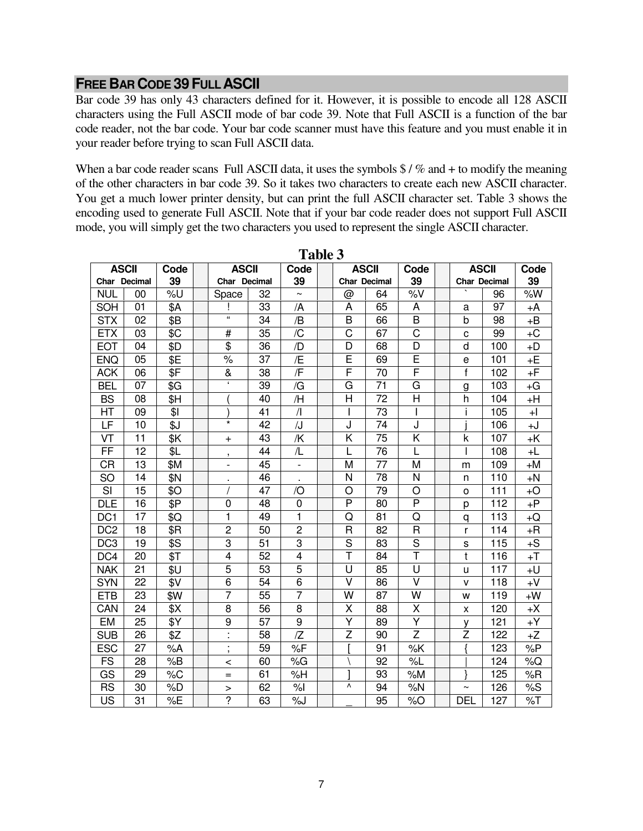#### **FREE BAR CODE 39FULL ASCII**

Bar code 39 has only 43 characters defined for it. However, it is possible to encode all 128 ASCII characters using the Full ASCII mode of bar code 39. Note that Full ASCII is a function of the bar code reader, not the bar code. Your bar code scanner must have this feature and you must enable it in your reader before trying to scan Full ASCII data.

When a bar code reader scans Full ASCII data, it uses the symbols  $\frac{1}{2}$  /% and + to modify the meaning of the other characters in bar code 39. So it takes two characters to create each new ASCII character. You get a much lower printer density, but can print the full ASCII character set. Table 3 shows the encoding used to generate Full ASCII. Note that if your bar code reader does not support Full ASCII mode, you will simply get the two characters you used to represent the single ASCII character.

| <b>ASCII</b>    |                 | Code | <b>ASCII</b>             |                 | Code                    |                         | <b>ASCII</b> | Code           | <b>ASCII</b>        |     | Code |
|-----------------|-----------------|------|--------------------------|-----------------|-------------------------|-------------------------|--------------|----------------|---------------------|-----|------|
| Char Decimal    |                 | 39   | Char Decimal             |                 | 39                      |                         | Char Decimal | 39             | <b>Char Decimal</b> |     | 39   |
| <b>NUL</b>      | 00              | %U   | Space                    | 32              |                         | @                       | 64           | %V             |                     | 96  | %W   |
| SOH             | 01              | \$A  |                          | 33              | /A                      | A                       | 65           | A              | а                   | 97  | +A   |
| <b>STX</b>      | 02              | \$B  | $\overline{\mathbf{a}}$  | 34              | /B                      | B                       | 66           | B              | b                   | 98  | $+B$ |
| <b>ETX</b>      | 03              | \$C  | #                        | 35              | /C                      | C                       | 67           | C              | C                   | 99  | $+C$ |
| <b>EOT</b>      | 04              | \$D  | \$                       | 36              | /D                      | D                       | 68           | D              | d                   | 100 | $+D$ |
| <b>ENQ</b>      | 05              | \$E  | $\%$                     | 37              | /E                      | E                       | 69           | E              | e                   | 101 | +E   |
| <b>ACK</b>      | 06              | \$F  | &                        | 38              | /F                      | F                       | 70           | F              | $\mathsf{f}$        | 102 | +F   |
| <b>BEL</b>      | 07              | \$G  | $\epsilon$               | 39              | /G                      | G                       | 71           | G              | g                   | 103 | +G   |
| <b>BS</b>       | 08              | \$H  |                          | 40              | /H                      | Η                       | 72           | H              | h                   | 104 | $+H$ |
| HT              | 09              | \$1  |                          | 41              | $\sqrt{ }$              |                         | 73           |                |                     | 105 | $+1$ |
| LF              | 10              | \$J  | $\star$                  | 42              | $\overline{\mathsf{J}}$ | J                       | 74           | J              |                     | 106 | +J   |
| VT              | 11              | \$Κ  | $\ddot{}$                | 43              | /K                      | Κ                       | 75           | Κ              | k                   | 107 | +K   |
| FF              | 12              | \$L  | $\overline{1}$           | 44              | /L                      | L                       | 76           |                |                     | 108 | +L   |
| СR              | 13              | \$M  | $\overline{\phantom{0}}$ | 45              | $\blacksquare$          | M                       | 77           | M              | m                   | 109 | +M   |
| <b>SO</b>       | 14              | \$N  | ٠                        | 46              | ٠                       | N                       | 78           | N              | n                   | 110 | $+N$ |
| SI              | 15              | \$0  |                          | 47              | $\overline{O}$          | $\circ$                 | 79           | O              | $\circ$             | 111 | $+O$ |
| <b>DLE</b>      | 16              | \$Ρ  | 0                        | 48              | $\pmb{0}$               | P                       | 80           | P              | р                   | 112 | $+P$ |
| DC <sub>1</sub> | 17              | \$Q  | $\mathbf{1}$             | 49              | $\mathbf{1}$            | Q                       | 81           | Q              | q                   | 113 | +Q   |
| DC <sub>2</sub> | 18              | \$R  | $\overline{2}$           | 50              | $\overline{c}$          | $\overline{\mathsf{R}}$ | 82           | $\overline{R}$ | r                   | 114 | $+R$ |
| DC <sub>3</sub> | 19              | \$S  | 3                        | 51              | 3                       | S                       | 83           | S              | S                   | 115 | $+S$ |
| DC4             | 20              | \$Τ  | $\overline{\mathbf{4}}$  | 52              | $\overline{\mathbf{4}}$ | T                       | 84           | Ŧ              | t                   | 116 | $+T$ |
| <b>NAK</b>      | 21              | \$U  | $\overline{5}$           | 53              | 5                       | U                       | 85           | U              | u                   | 117 | $+U$ |
| <b>SYN</b>      | 22              | \$V  | 6                        | 54              | 6                       | $\vee$                  | 86           | $\vee$         | v                   | 118 | $+V$ |
| <b>ETB</b>      | 23              | \$W  | $\overline{7}$           | 55              | $\overline{7}$          | W                       | 87           | W              | W                   | 119 | $+W$ |
| CAN             | 24              | \$Χ  | 8                        | 56              | 8                       | Χ                       | 88           | X              | x                   | 120 | +X   |
| EM              | 25              | \$Y  | 9                        | 57              | 9                       | Υ                       | 89           | Υ              | ٧                   | 121 | +Y   |
| <b>SUB</b>      | 26              | \$Z  | à,                       | $\overline{58}$ | Z                       | $\overline{z}$          | 90           | $\overline{Z}$ | $\overline{z}$      | 122 | $+Z$ |
| <b>ESC</b>      | $\overline{27}$ | %A   | $\mathbf{r}$<br>$\,$     | 59              | %F                      |                         | 91           | %K             |                     | 123 | %P   |
| <b>FS</b>       | 28              | %B   | $\,<\,$                  | 60              | %G                      |                         | 92           | %L             |                     | 124 | %Q   |
| GS              | 29              | %C   | $=$                      | 61              | %H                      |                         | 93           | %M             |                     | 125 | %R   |
| <b>RS</b>       | 30              | %D   | >                        | 62              | %                       | ۸                       | 94           | %N             | $\tilde{}$          | 126 | %S   |
| US              | 31              | %E   | $\overline{2}$           | 63              | %J                      |                         | 95           | %O             | <b>DEL</b>          | 127 | %T   |

**Table 3**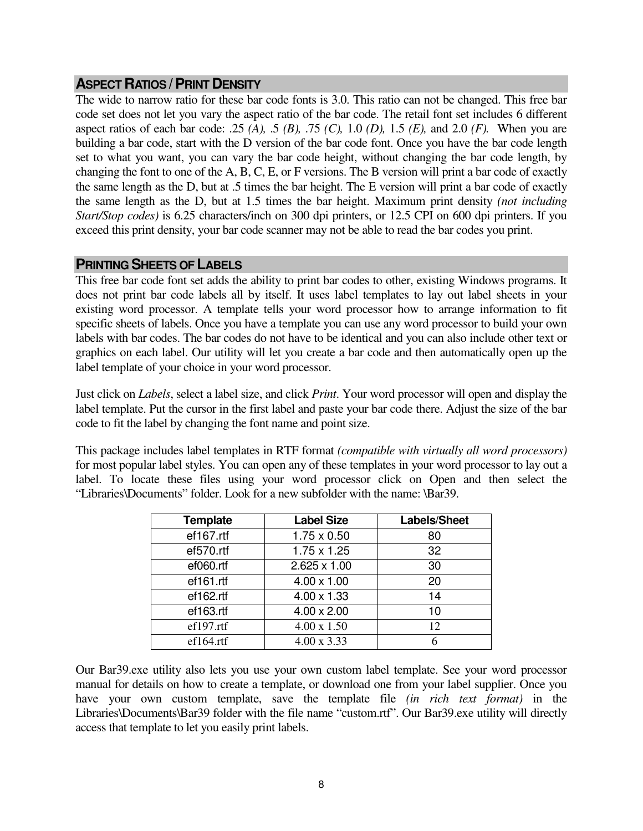#### **ASPECT RATIOS /PRINT DENSITY**

The wide to narrow ratio for these bar code fonts is 3.0. This ratio can not be changed. This free bar code set does not let you vary the aspect ratio of the bar code. The retail font set includes 6 different aspect ratios of each bar code: .25 *(A),* .5 *(B),* .75 *(C),* 1.0 *(D),* 1.5 *(E),* and 2.0 *(F).* When you are building a bar code, start with the D version of the bar code font. Once you have the bar code length set to what you want, you can vary the bar code height, without changing the bar code length, by changing the font to one of the A, B, C, E, or F versions. The B version will print a bar code of exactly the same length as the D, but at .5 times the bar height. The E version will print a bar code of exactly the same length as the D, but at 1.5 times the bar height. Maximum print density *(not including Start/Stop codes)* is 6.25 characters/inch on 300 dpi printers, or 12.5 CPI on 600 dpi printers. If you exceed this print density, your bar code scanner may not be able to read the bar codes you print.

#### **PRINTING SHEETS OF LABELS**

This free bar code font set adds the ability to print bar codes to other, existing Windows programs. It does not print bar code labels all by itself. It uses label templates to lay out label sheets in your existing word processor. A template tells your word processor how to arrange information to fit specific sheets of labels. Once you have a template you can use any word processor to build your own labels with bar codes. The bar codes do not have to be identical and you can also include other text or graphics on each label. Our utility will let you create a bar code and then automatically open up the label template of your choice in your word processor.

Just click on *Labels*, select a label size, and click *Print*. Your word processor will open and display the label template. Put the cursor in the first label and paste your bar code there. Adjust the size of the bar code to fit the label by changing the font name and point size.

This package includes label templates in RTF format *(compatible with virtually all word processors)* for most popular label styles. You can open any of these templates in your word processor to lay out a label. To locate these files using your word processor click on Open and then select the "Libraries\Documents" folder. Look for a new subfolder with the name: \Bar39.

| <b>Template</b> | <b>Label Size</b>   | Labels/Sheet |
|-----------------|---------------------|--------------|
| ef167.rtf       | $1.75 \times 0.50$  | 80           |
| ef570.rtf       | $1.75 \times 1.25$  | 32           |
| ef060.rtf       | $2.625 \times 1.00$ | 30           |
| ef161.rtf       | $4.00 \times 1.00$  | 20           |
| ef162.rtf       | $4.00 \times 1.33$  | 14           |
| ef163.rtf       | $4.00 \times 2.00$  | 10           |
| ef197.rtf       | $4.00 \times 1.50$  | 12           |
| ef164.rtf       | $4.00 \times 3.33$  | 6            |

Our Bar39.exe utility also lets you use your own custom label template. See your word processor manual for details on how to create a template, or download one from your label supplier. Once you have your own custom template, save the template file *(in rich text format)* in the Libraries\Documents\Bar39 folder with the file name "custom.rtf". Our Bar39.exe utility will directly access that template to let you easily print labels.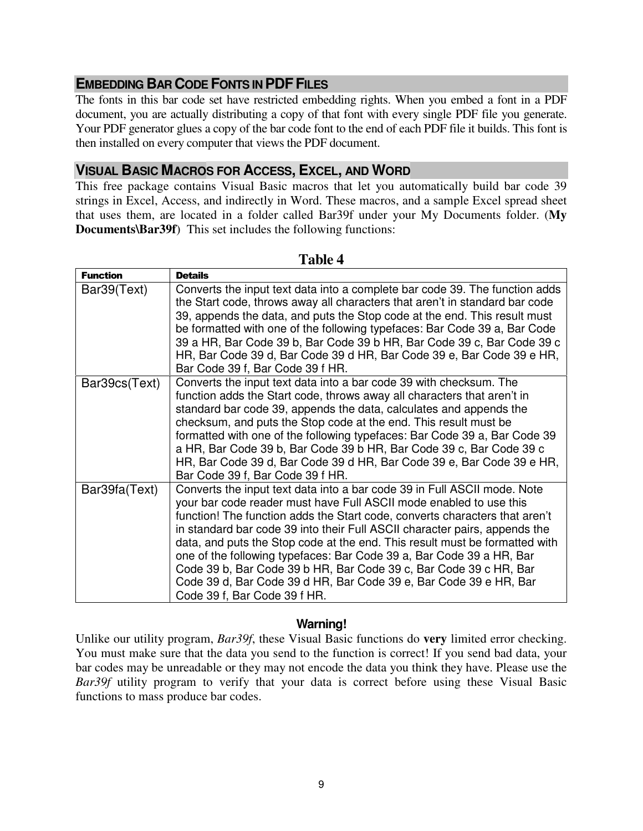# **EMBEDDING BAR CODE FONTS IN PDF FILES**

The fonts in this bar code set have restricted embedding rights. When you embed a font in a PDF document, you are actually distributing a copy of that font with every single PDF file you generate. Your PDF generator glues a copy of the bar code font to the end of each PDF file it builds. This font is then installed on every computer that views the PDF document.

#### **VISUAL BASIC MACROS FOR ACCESS, EXCEL, AND WORD**

This free package contains Visual Basic macros that let you automatically build bar code 39 strings in Excel, Access, and indirectly in Word. These macros, and a sample Excel spread sheet that uses them, are located in a folder called Bar39f under your My Documents folder. (**My Documents\Bar39f**) This set includes the following functions:

| <b>Function</b> | <b>Details</b>                                                                                                                                                                                                                                                                                                                                                                                                                                                                                                                                                                                                                               |
|-----------------|----------------------------------------------------------------------------------------------------------------------------------------------------------------------------------------------------------------------------------------------------------------------------------------------------------------------------------------------------------------------------------------------------------------------------------------------------------------------------------------------------------------------------------------------------------------------------------------------------------------------------------------------|
| Bar39(Text)     | Converts the input text data into a complete bar code 39. The function adds<br>the Start code, throws away all characters that aren't in standard bar code<br>39, appends the data, and puts the Stop code at the end. This result must<br>be formatted with one of the following typefaces: Bar Code 39 a, Bar Code<br>39 a HR, Bar Code 39 b, Bar Code 39 b HR, Bar Code 39 c, Bar Code 39 c<br>HR, Bar Code 39 d, Bar Code 39 d HR, Bar Code 39 e, Bar Code 39 e HR,<br>Bar Code 39 f, Bar Code 39 f HR.                                                                                                                                  |
| Bar39cs(Text)   | Converts the input text data into a bar code 39 with checksum. The<br>function adds the Start code, throws away all characters that aren't in<br>standard bar code 39, appends the data, calculates and appends the<br>checksum, and puts the Stop code at the end. This result must be<br>formatted with one of the following typefaces: Bar Code 39 a, Bar Code 39<br>a HR, Bar Code 39 b, Bar Code 39 b HR, Bar Code 39 c, Bar Code 39 c<br>HR, Bar Code 39 d, Bar Code 39 d HR, Bar Code 39 e, Bar Code 39 e HR,<br>Bar Code 39 f, Bar Code 39 f HR.                                                                                     |
| Bar39fa(Text)   | Converts the input text data into a bar code 39 in Full ASCII mode. Note<br>your bar code reader must have Full ASCII mode enabled to use this<br>function! The function adds the Start code, converts characters that aren't<br>in standard bar code 39 into their Full ASCII character pairs, appends the<br>data, and puts the Stop code at the end. This result must be formatted with<br>one of the following typefaces: Bar Code 39 a, Bar Code 39 a HR, Bar<br>Code 39 b, Bar Code 39 b HR, Bar Code 39 c, Bar Code 39 c HR, Bar<br>Code 39 d, Bar Code 39 d HR, Bar Code 39 e, Bar Code 39 e HR, Bar<br>Code 39 f, Bar Code 39 f HR. |

#### **Table 4**

#### **Warning!**

Unlike our utility program, *Bar39f*, these Visual Basic functions do **very** limited error checking. You must make sure that the data you send to the function is correct! If you send bad data, your bar codes may be unreadable or they may not encode the data you think they have. Please use the *Bar39f* utility program to verify that your data is correct before using these Visual Basic functions to mass produce bar codes.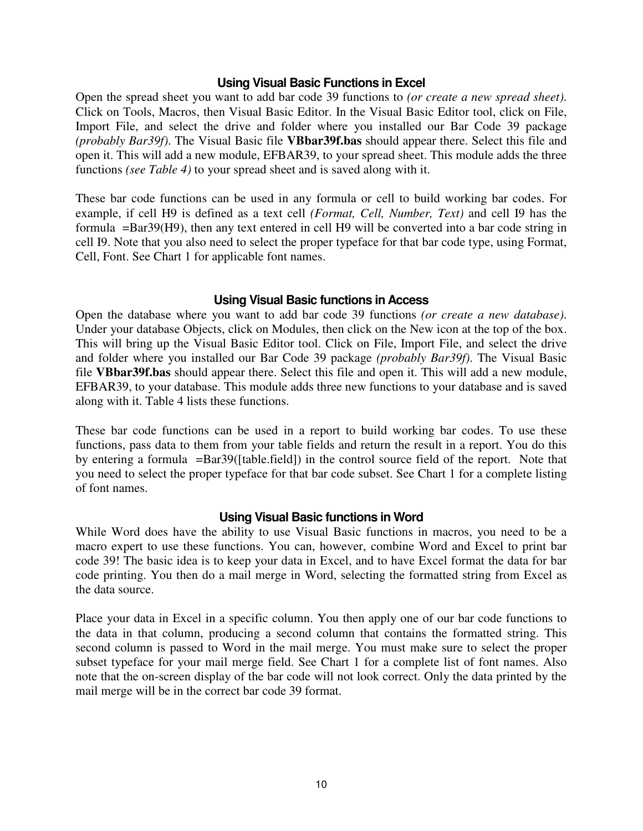#### **Using Visual Basic Functions in Excel**

Open the spread sheet you want to add bar code 39 functions to *(or create a new spread sheet)*. Click on Tools, Macros, then Visual Basic Editor. In the Visual Basic Editor tool, click on File, Import File, and select the drive and folder where you installed our Bar Code 39 package *(probably Bar39f)*. The Visual Basic file **VBbar39f.bas** should appear there. Select this file and open it. This will add a new module, EFBAR39, to your spread sheet. This module adds the three functions *(see Table 4)* to your spread sheet and is saved along with it.

These bar code functions can be used in any formula or cell to build working bar codes. For example, if cell H9 is defined as a text cell *(Format, Cell, Number, Text)* and cell I9 has the formula =Bar39(H9), then any text entered in cell H9 will be converted into a bar code string in cell I9. Note that you also need to select the proper typeface for that bar code type, using Format, Cell, Font. See Chart 1 for applicable font names.

#### **Using Visual Basic functions in Access**

Open the database where you want to add bar code 39 functions *(or create a new database)*. Under your database Objects, click on Modules, then click on the New icon at the top of the box. This will bring up the Visual Basic Editor tool. Click on File, Import File, and select the drive and folder where you installed our Bar Code 39 package *(probably Bar39f)*. The Visual Basic file **VBbar39f.bas** should appear there. Select this file and open it. This will add a new module, EFBAR39, to your database. This module adds three new functions to your database and is saved along with it. Table 4 lists these functions.

These bar code functions can be used in a report to build working bar codes. To use these functions, pass data to them from your table fields and return the result in a report. You do this by entering a formula =Bar39([table.field]) in the control source field of the report. Note that you need to select the proper typeface for that bar code subset. See Chart 1 for a complete listing of font names.

#### **Using Visual Basic functions in Word**

While Word does have the ability to use Visual Basic functions in macros, you need to be a macro expert to use these functions. You can, however, combine Word and Excel to print bar code 39! The basic idea is to keep your data in Excel, and to have Excel format the data for bar code printing. You then do a mail merge in Word, selecting the formatted string from Excel as the data source.

Place your data in Excel in a specific column. You then apply one of our bar code functions to the data in that column, producing a second column that contains the formatted string. This second column is passed to Word in the mail merge. You must make sure to select the proper subset typeface for your mail merge field. See Chart 1 for a complete list of font names. Also note that the on-screen display of the bar code will not look correct. Only the data printed by the mail merge will be in the correct bar code 39 format.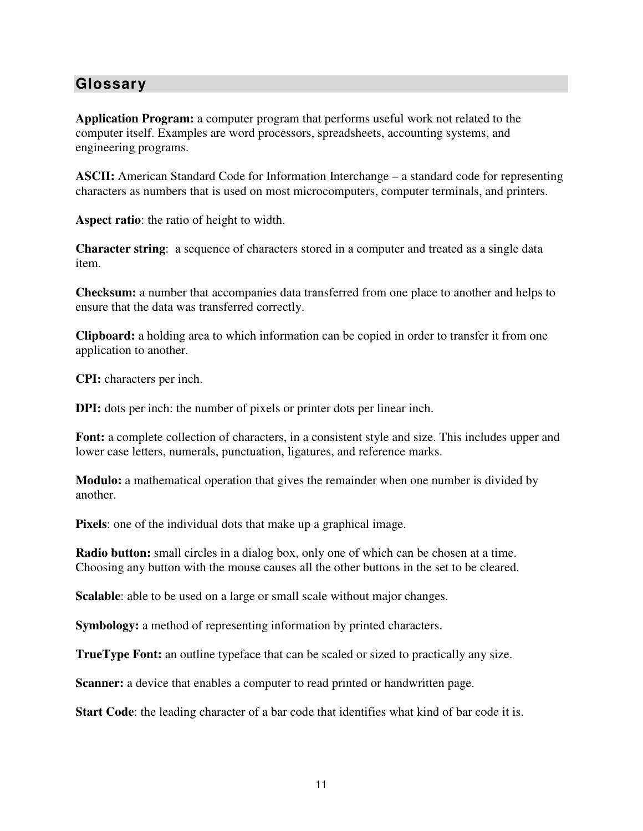# **Glossary**

**Application Program:** a computer program that performs useful work not related to the computer itself. Examples are word processors, spreadsheets, accounting systems, and engineering programs.

**ASCII:** American Standard Code for Information Interchange – a standard code for representing characters as numbers that is used on most microcomputers, computer terminals, and printers.

**Aspect ratio**: the ratio of height to width.

**Character string**: a sequence of characters stored in a computer and treated as a single data item.

**Checksum:** a number that accompanies data transferred from one place to another and helps to ensure that the data was transferred correctly.

**Clipboard:** a holding area to which information can be copied in order to transfer it from one application to another.

**CPI:** characters per inch.

**DPI:** dots per inch: the number of pixels or printer dots per linear inch.

**Font:** a complete collection of characters, in a consistent style and size. This includes upper and lower case letters, numerals, punctuation, ligatures, and reference marks.

**Modulo:** a mathematical operation that gives the remainder when one number is divided by another.

**Pixels**: one of the individual dots that make up a graphical image.

**Radio button:** small circles in a dialog box, only one of which can be chosen at a time. Choosing any button with the mouse causes all the other buttons in the set to be cleared.

**Scalable**: able to be used on a large or small scale without major changes.

**Symbology:** a method of representing information by printed characters.

**TrueType Font:** an outline typeface that can be scaled or sized to practically any size.

**Scanner:** a device that enables a computer to read printed or handwritten page.

**Start Code**: the leading character of a bar code that identifies what kind of bar code it is.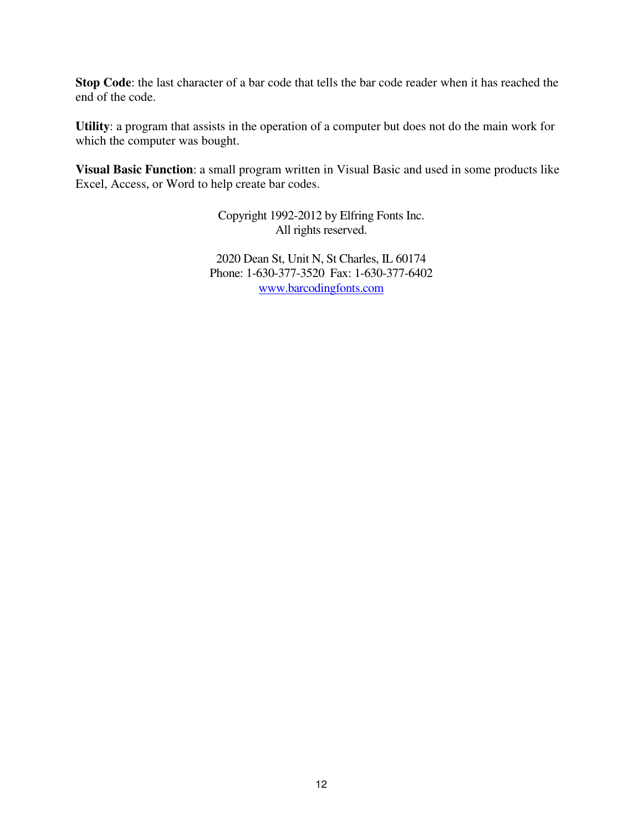**Stop Code**: the last character of a bar code that tells the bar code reader when it has reached the end of the code.

**Utility**: a program that assists in the operation of a computer but does not do the main work for which the computer was bought.

**Visual Basic Function**: a small program written in Visual Basic and used in some products like Excel, Access, or Word to help create bar codes.

> Copyright 1992-2012 by Elfring Fonts Inc. All rights reserved.

2020 Dean St, Unit N, St Charles, IL 60174 Phone: 1-630-377-3520 Fax: 1-630-377-6402 www.barcodingfonts.com